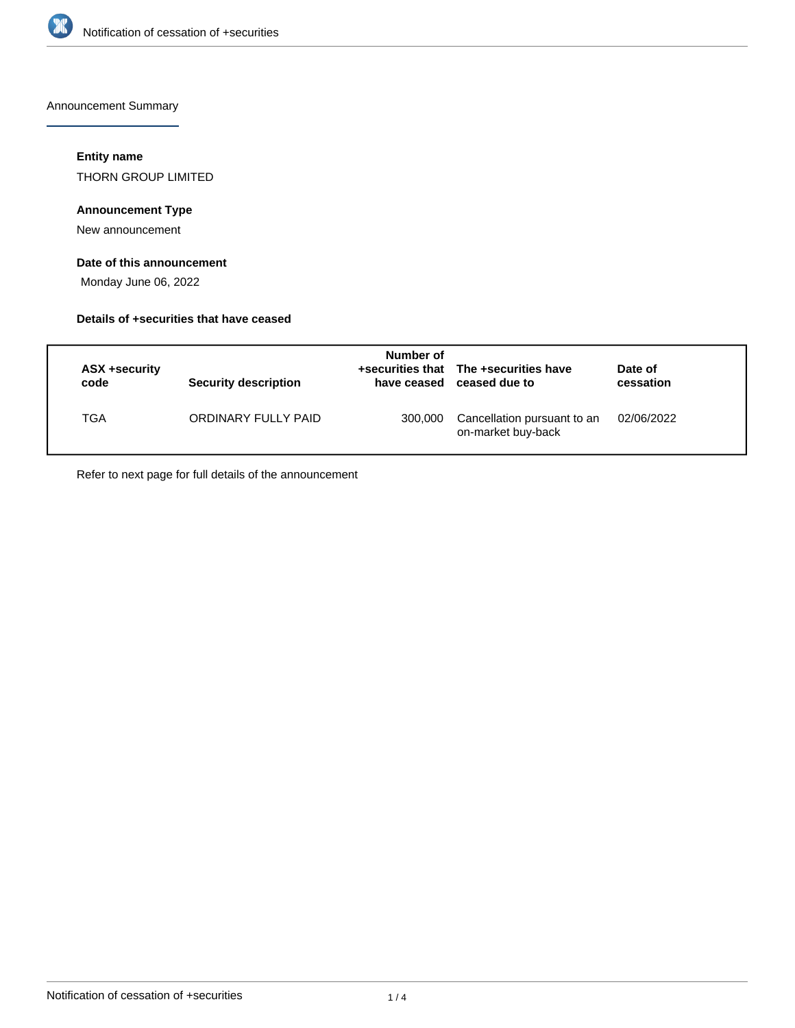

Announcement Summary

### **Entity name**

THORN GROUP LIMITED

## **Announcement Type**

New announcement

## **Date of this announcement**

Monday June 06, 2022

### **Details of +securities that have ceased**

| ASX +security<br>code | Security description | Number of<br>have ceased | +securities that The +securities have<br>ceased due to | Date of<br>cessation |
|-----------------------|----------------------|--------------------------|--------------------------------------------------------|----------------------|
| TGA                   | ORDINARY FULLY PAID  | 300,000                  | Cancellation pursuant to an<br>on-market buy-back      | 02/06/2022           |

Refer to next page for full details of the announcement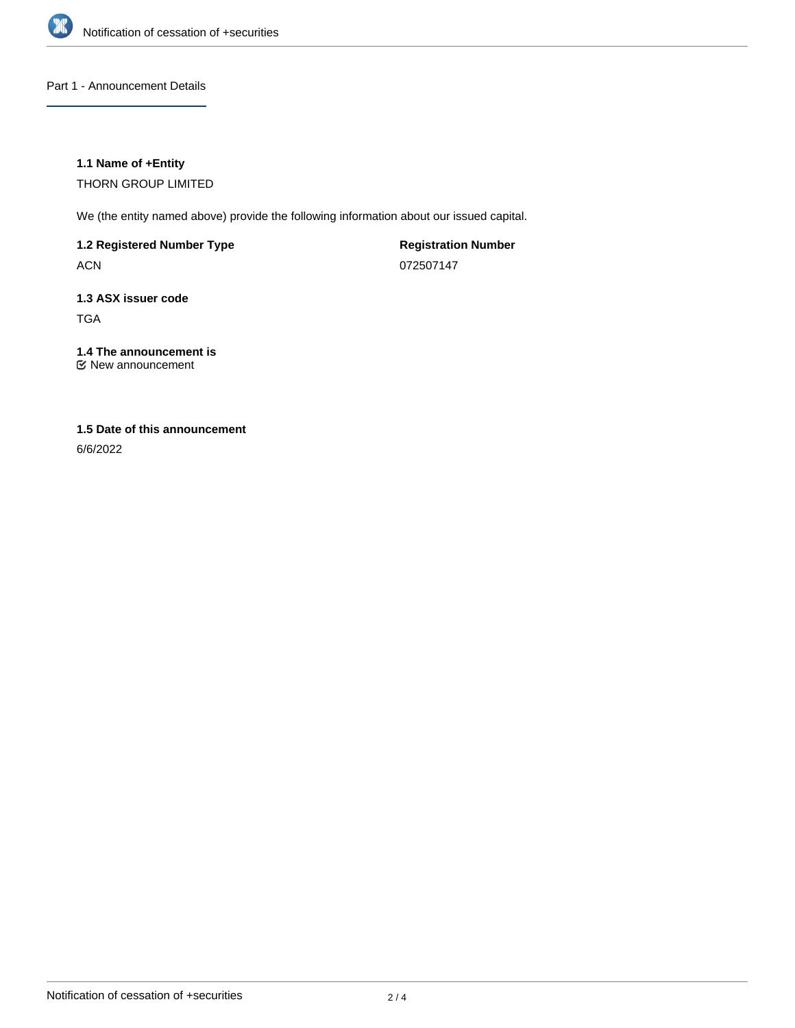

Part 1 - Announcement Details

## **1.1 Name of +Entity**

THORN GROUP LIMITED

We (the entity named above) provide the following information about our issued capital.

**1.2 Registered Number Type**

ACN

**Registration Number** 072507147

# **1.3 ASX issuer code** TGA

# **1.4 The announcement is**

New announcement

# **1.5 Date of this announcement**

6/6/2022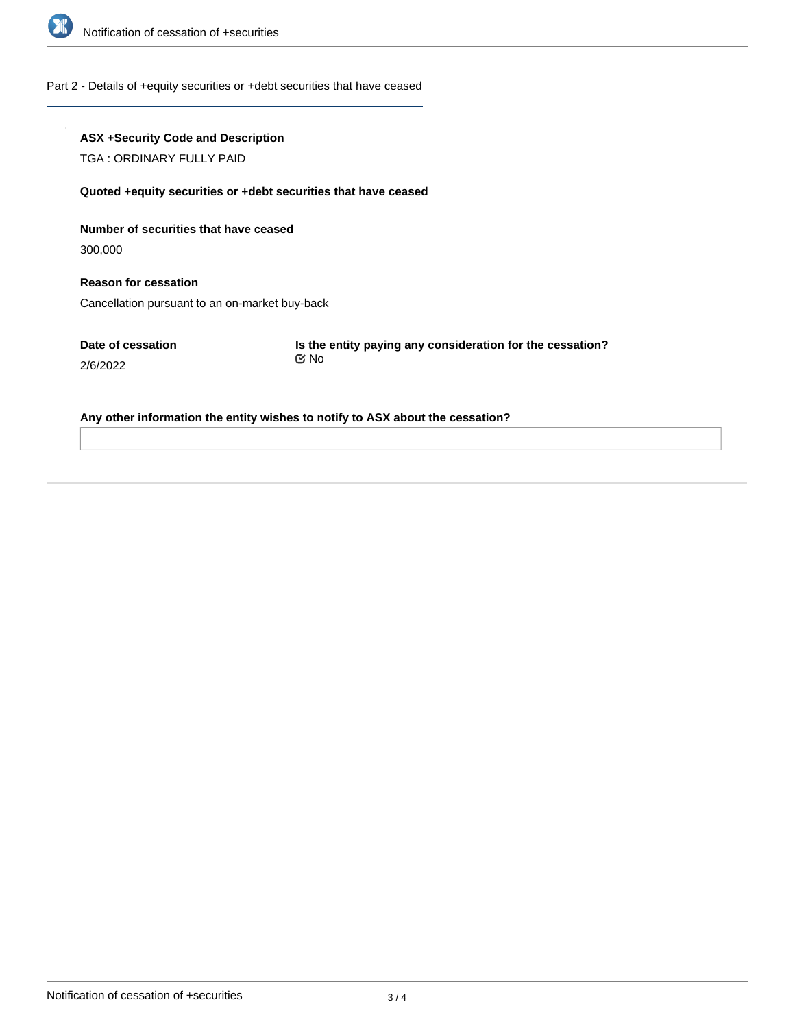

### Part 2 - Details of +equity securities or +debt securities that have ceased

## **ASX +Security Code and Description**

TGA : ORDINARY FULLY PAID

#### **Quoted +equity securities or +debt securities that have ceased**

**Number of securities that have ceased**

300,000

**Reason for cessation** Cancellation pursuant to an on-market buy-back

**Date of cessation** 2/6/2022

**Is the entity paying any consideration for the cessation?** No

### **Any other information the entity wishes to notify to ASX about the cessation?**